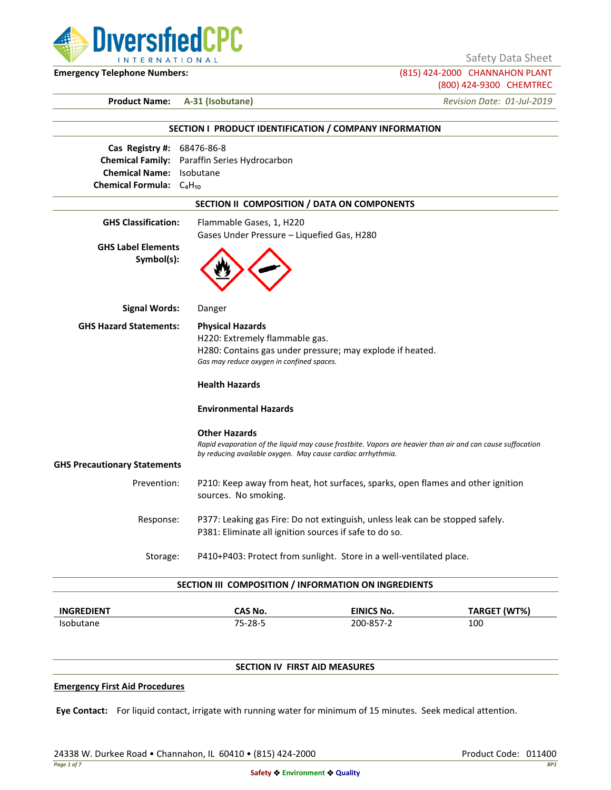

Safety Data Sheet

**Emergency Telephone Numbers:** (815) 424-2000 CHANNAHON PLANT (800) 424-9300 CHEMTREC

**Product Name: A-31 (Isobutane)** *Revision Date: 01-Jul-2019*

|                                                                                                       | SECTION I PRODUCT IDENTIFICATION / COMPANY INFORMATION                                                                                                                                            |
|-------------------------------------------------------------------------------------------------------|---------------------------------------------------------------------------------------------------------------------------------------------------------------------------------------------------|
| Cas Registry #: 68476-86-8<br><b>Chemical Name:</b> Isobutane<br><b>Chemical Formula:</b> $C_4H_{10}$ | Chemical Family: Paraffin Series Hydrocarbon                                                                                                                                                      |
|                                                                                                       | SECTION II COMPOSITION / DATA ON COMPONENTS                                                                                                                                                       |
| <b>GHS Classification:</b><br><b>GHS Label Elements</b><br>Symbol(s):                                 | Flammable Gases, 1, H220<br>Gases Under Pressure - Liquefied Gas, H280                                                                                                                            |
| <b>Signal Words:</b>                                                                                  | Danger                                                                                                                                                                                            |
| <b>GHS Hazard Statements:</b>                                                                         | <b>Physical Hazards</b><br>H220: Extremely flammable gas.<br>H280: Contains gas under pressure; may explode if heated.<br>Gas may reduce oxygen in confined spaces.<br><b>Health Hazards</b>      |
|                                                                                                       | <b>Environmental Hazards</b>                                                                                                                                                                      |
|                                                                                                       | <b>Other Hazards</b><br>Rapid evaporation of the liquid may cause frostbite. Vapors are heavier than air and can cause suffocation<br>by reducing available oxygen. May cause cardiac arrhythmia. |
| <b>GHS Precautionary Statements</b>                                                                   |                                                                                                                                                                                                   |
| Prevention:                                                                                           | P210: Keep away from heat, hot surfaces, sparks, open flames and other ignition<br>sources. No smoking.                                                                                           |
| Response:                                                                                             | P377: Leaking gas Fire: Do not extinguish, unless leak can be stopped safely.<br>P381: Eliminate all ignition sources if safe to do so.                                                           |
| Storage:                                                                                              | P410+P403: Protect from sunlight. Store in a well-ventilated place.                                                                                                                               |
|                                                                                                       | SECTION III COMPOSITION / INFORMATION ON INGREDIENTS                                                                                                                                              |

| <b>INGREDIENT</b> | <b>CAS No.</b> | <b>EINICS No.</b> | TARGET (WT%) |
|-------------------|----------------|-------------------|--------------|
| <b>Isobutane</b>  | 75-28-5        | 200-857-2         | 100          |

# **SECTION IV FIRST AID MEASURES**

## **Emergency First Aid Procedures**

**Eye Contact:** For liquid contact, irrigate with running water for minimum of 15 minutes. Seek medical attention.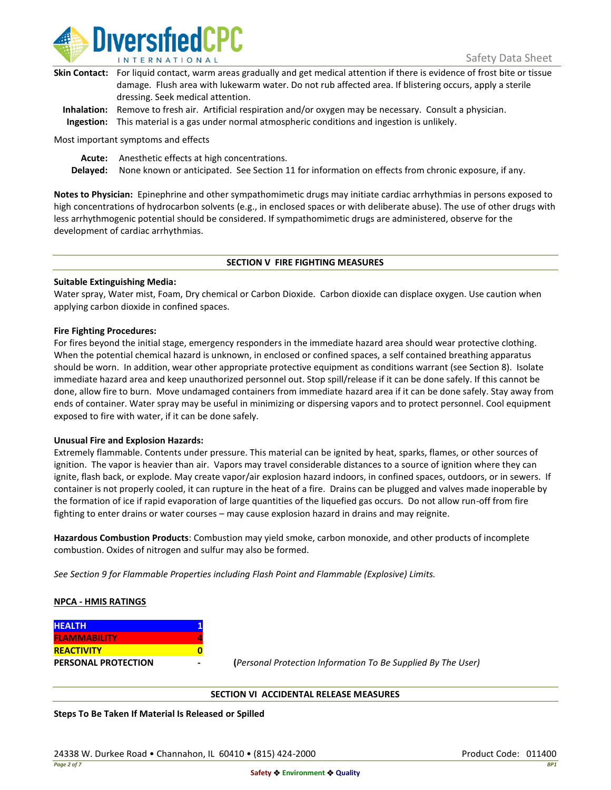

| Skin Contact: For liquid contact, warm areas gradually and get medical attention if there is evidence of frost bite or tissue |
|-------------------------------------------------------------------------------------------------------------------------------|
| damage. Flush area with lukewarm water. Do not rub affected area. If blistering occurs, apply a sterile                       |
| dressing. Seek medical attention.                                                                                             |
|                                                                                                                               |

**Inhalation:** Remove to fresh air. Artificial respiration and/or oxygen may be necessary. Consult a physician. **Ingestion:** This material is a gas under normal atmospheric conditions and ingestion is unlikely.

Most important symptoms and effects

**Acute:** Anesthetic effects at high concentrations.

**Delayed:** None known or anticipated. See Section 11 for information on effects from chronic exposure, if any.

**Notes to Physician:** Epinephrine and other sympathomimetic drugs may initiate cardiac arrhythmias in persons exposed to high concentrations of hydrocarbon solvents (e.g., in enclosed spaces or with deliberate abuse). The use of other drugs with less arrhythmogenic potential should be considered. If sympathomimetic drugs are administered, observe for the development of cardiac arrhythmias.

## **SECTION V FIRE FIGHTING MEASURES**

## **Suitable Extinguishing Media:**

Water spray, Water mist, Foam, Dry chemical or Carbon Dioxide. Carbon dioxide can displace oxygen. Use caution when applying carbon dioxide in confined spaces.

## **Fire Fighting Procedures:**

For fires beyond the initial stage, emergency responders in the immediate hazard area should wear protective clothing. When the potential chemical hazard is unknown, in enclosed or confined spaces, a self contained breathing apparatus should be worn. In addition, wear other appropriate protective equipment as conditions warrant (see Section 8). Isolate immediate hazard area and keep unauthorized personnel out. Stop spill/release if it can be done safely. If this cannot be done, allow fire to burn. Move undamaged containers from immediate hazard area if it can be done safely. Stay away from ends of container. Water spray may be useful in minimizing or dispersing vapors and to protect personnel. Cool equipment exposed to fire with water, if it can be done safely.

## **Unusual Fire and Explosion Hazards:**

Extremely flammable. Contents under pressure. This material can be ignited by heat, sparks, flames, or other sources of ignition. The vapor is heavier than air. Vapors may travel considerable distances to a source of ignition where they can ignite, flash back, or explode. May create vapor/air explosion hazard indoors, in confined spaces, outdoors, or in sewers. If container is not properly cooled, it can rupture in the heat of a fire. Drains can be plugged and valves made inoperable by the formation of ice if rapid evaporation of large quantities of the liquefied gas occurs. Do not allow run-off from fire fighting to enter drains or water courses – may cause explosion hazard in drains and may reignite.

**Hazardous Combustion Products**: Combustion may yield smoke, carbon monoxide, and other products of incomplete combustion. Oxides of nitrogen and sulfur may also be formed.

*See Section 9 for Flammable Properties including Flash Point and Flammable (Explosive) Limits.*

## **NPCA - HMIS RATINGS**

| <b>HEALTH</b>              |  |
|----------------------------|--|
| <b>FLAMMABILITY</b>        |  |
| <b>REACTIVITY</b>          |  |
| <b>PERSONAL PROTECTION</b> |  |

**PERSONAL PROTECTION - (***Personal Protection Information To Be Supplied By The User)*

## **SECTION VI ACCIDENTAL RELEASE MEASURES**

**Steps To Be Taken If Material Is Released or Spilled**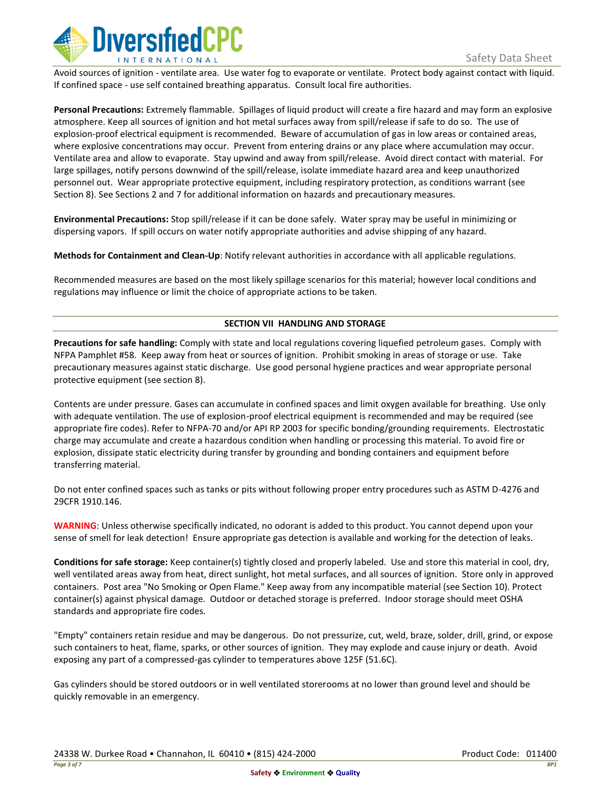

Avoid sources of ignition - ventilate area. Use water fog to evaporate or ventilate. Protect body against contact with liquid. If confined space - use self contained breathing apparatus. Consult local fire authorities.

**Personal Precautions:** Extremely flammable. Spillages of liquid product will create a fire hazard and may form an explosive atmosphere. Keep all sources of ignition and hot metal surfaces away from spill/release if safe to do so. The use of explosion-proof electrical equipment is recommended. Beware of accumulation of gas in low areas or contained areas, where explosive concentrations may occur. Prevent from entering drains or any place where accumulation may occur. Ventilate area and allow to evaporate. Stay upwind and away from spill/release. Avoid direct contact with material. For large spillages, notify persons downwind of the spill/release, isolate immediate hazard area and keep unauthorized personnel out. Wear appropriate protective equipment, including respiratory protection, as conditions warrant (see Section 8). See Sections 2 and 7 for additional information on hazards and precautionary measures.

**Environmental Precautions:** Stop spill/release if it can be done safely. Water spray may be useful in minimizing or dispersing vapors. If spill occurs on water notify appropriate authorities and advise shipping of any hazard.

**Methods for Containment and Clean-Up**: Notify relevant authorities in accordance with all applicable regulations.

Recommended measures are based on the most likely spillage scenarios for this material; however local conditions and regulations may influence or limit the choice of appropriate actions to be taken.

## **SECTION VII HANDLING AND STORAGE**

**Precautions for safe handling:** Comply with state and local regulations covering liquefied petroleum gases. Comply with NFPA Pamphlet #58. Keep away from heat or sources of ignition. Prohibit smoking in areas of storage or use. Take precautionary measures against static discharge. Use good personal hygiene practices and wear appropriate personal protective equipment (see section 8).

Contents are under pressure. Gases can accumulate in confined spaces and limit oxygen available for breathing. Use only with adequate ventilation. The use of explosion-proof electrical equipment is recommended and may be required (see appropriate fire codes). Refer to NFPA-70 and/or API RP 2003 for specific bonding/grounding requirements. Electrostatic charge may accumulate and create a hazardous condition when handling or processing this material. To avoid fire or explosion, dissipate static electricity during transfer by grounding and bonding containers and equipment before transferring material.

Do not enter confined spaces such as tanks or pits without following proper entry procedures such as ASTM D-4276 and 29CFR 1910.146.

**WARNING**: Unless otherwise specifically indicated, no odorant is added to this product. You cannot depend upon your sense of smell for leak detection! Ensure appropriate gas detection is available and working for the detection of leaks.

**Conditions for safe storage:** Keep container(s) tightly closed and properly labeled. Use and store this material in cool, dry, well ventilated areas away from heat, direct sunlight, hot metal surfaces, and all sources of ignition. Store only in approved containers. Post area "No Smoking or Open Flame." Keep away from any incompatible material (see Section 10). Protect container(s) against physical damage. Outdoor or detached storage is preferred. Indoor storage should meet OSHA standards and appropriate fire codes.

"Empty" containers retain residue and may be dangerous. Do not pressurize, cut, weld, braze, solder, drill, grind, or expose such containers to heat, flame, sparks, or other sources of ignition. They may explode and cause injury or death. Avoid exposing any part of a compressed-gas cylinder to temperatures above 125F (51.6C).

Gas cylinders should be stored outdoors or in well ventilated storerooms at no lower than ground level and should be quickly removable in an emergency.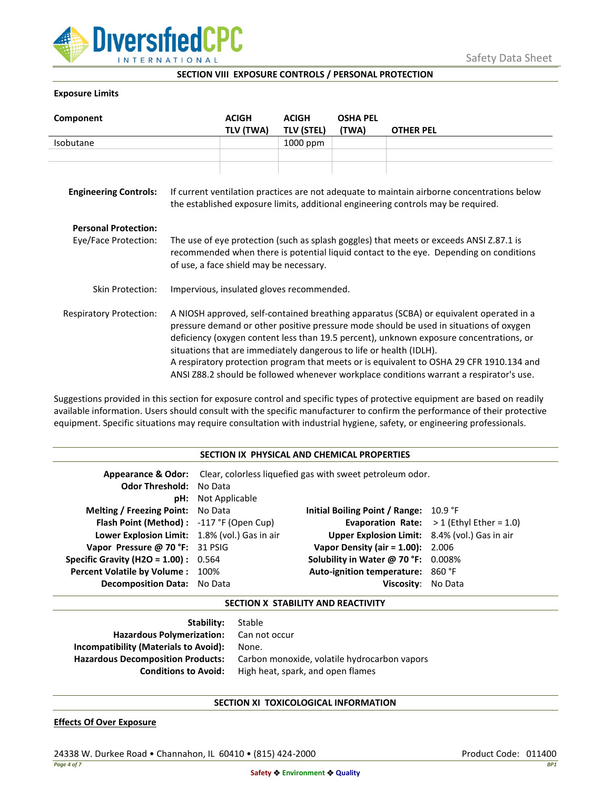

**SECTION VIII EXPOSURE CONTROLS / PERSONAL PROTECTION**

## **Exposure Limits**

| Component                      |                                                                                                                                                                                                                                                                                                                                                                                                                                                                                                                                            | <b>ACIGH</b> | <b>ACIGH</b>      | <b>OSHA PEL</b> |                  |
|--------------------------------|--------------------------------------------------------------------------------------------------------------------------------------------------------------------------------------------------------------------------------------------------------------------------------------------------------------------------------------------------------------------------------------------------------------------------------------------------------------------------------------------------------------------------------------------|--------------|-------------------|-----------------|------------------|
|                                |                                                                                                                                                                                                                                                                                                                                                                                                                                                                                                                                            | TLV (TWA)    | <b>TLV (STEL)</b> | (TWA)           | <b>OTHER PEL</b> |
| Isobutane                      |                                                                                                                                                                                                                                                                                                                                                                                                                                                                                                                                            |              | 1000 ppm          |                 |                  |
|                                |                                                                                                                                                                                                                                                                                                                                                                                                                                                                                                                                            |              |                   |                 |                  |
|                                |                                                                                                                                                                                                                                                                                                                                                                                                                                                                                                                                            |              |                   |                 |                  |
| <b>Engineering Controls:</b>   | If current ventilation practices are not adequate to maintain airborne concentrations below<br>the established exposure limits, additional engineering controls may be required.                                                                                                                                                                                                                                                                                                                                                           |              |                   |                 |                  |
| <b>Personal Protection:</b>    |                                                                                                                                                                                                                                                                                                                                                                                                                                                                                                                                            |              |                   |                 |                  |
| Eye/Face Protection:           | The use of eye protection (such as splash goggles) that meets or exceeds ANSI Z.87.1 is<br>recommended when there is potential liquid contact to the eye. Depending on conditions<br>of use, a face shield may be necessary.                                                                                                                                                                                                                                                                                                               |              |                   |                 |                  |
| Skin Protection:               | Impervious, insulated gloves recommended.                                                                                                                                                                                                                                                                                                                                                                                                                                                                                                  |              |                   |                 |                  |
| <b>Respiratory Protection:</b> | A NIOSH approved, self-contained breathing apparatus (SCBA) or equivalent operated in a<br>pressure demand or other positive pressure mode should be used in situations of oxygen<br>deficiency (oxygen content less than 19.5 percent), unknown exposure concentrations, or<br>situations that are immediately dangerous to life or health (IDLH).<br>A respiratory protection program that meets or is equivalent to OSHA 29 CFR 1910.134 and<br>ANSI Z88.2 should be followed whenever workplace conditions warrant a respirator's use. |              |                   |                 |                  |

Suggestions provided in this section for exposure control and specific types of protective equipment are based on readily available information. Users should consult with the specific manufacturer to confirm the performance of their protective equipment. Specific situations may require consultation with industrial hygiene, safety, or engineering professionals.

| SECTION IX PHYSICAL AND CHEMICAL PROPERTIES   |                                                                              |                                               |                                                   |  |
|-----------------------------------------------|------------------------------------------------------------------------------|-----------------------------------------------|---------------------------------------------------|--|
|                                               | Appearance & Odor: Clear, colorless liquefied gas with sweet petroleum odor. |                                               |                                                   |  |
| <b>Odor Threshold: No Data</b>                |                                                                              |                                               |                                                   |  |
|                                               | <b>pH:</b> Not Applicable                                                    |                                               |                                                   |  |
| <b>Melting / Freezing Point:</b> No Data      |                                                                              | Initial Boiling Point / Range: 10.9 °F        |                                                   |  |
| Flash Point (Method): -117 °F (Open Cup)      |                                                                              |                                               | <b>Evaporation Rate:</b> $>1$ (Ethyl Ether = 1.0) |  |
| Lower Explosion Limit: 1.8% (vol.) Gas in air |                                                                              | Upper Explosion Limit: 8.4% (vol.) Gas in air |                                                   |  |
| Vapor Pressure @ 70 °F: 31 PSIG               |                                                                              | <b>Vapor Density (air = 1.00):</b> 2.006      |                                                   |  |
| <b>Specific Gravity (H2O = 1.00):</b> $0.564$ |                                                                              | Solubility in Water @ 70 °F: 0.008%           |                                                   |  |
| <b>Percent Volatile by Volume: 100%</b>       |                                                                              | Auto-ignition temperature: 860 °F             |                                                   |  |
| <b>Decomposition Data:</b> No Data            |                                                                              | Viscositv:                                    | No Data                                           |  |

# **SECTION X STABILITY AND REACTIVITY**

| <b>Stability:</b> Stable                 |                                              |
|------------------------------------------|----------------------------------------------|
| Hazardous Polymerization: Can not occur  |                                              |
| Incompatibility (Materials to Avoid):    | None.                                        |
| <b>Hazardous Decomposition Products:</b> | Carbon monoxide, volatile hydrocarbon vapors |
| <b>Conditions to Avoid:</b>              | High heat, spark, and open flames            |

## **SECTION XI TOXICOLOGICAL INFORMATION**

## **Effects Of Over Exposure**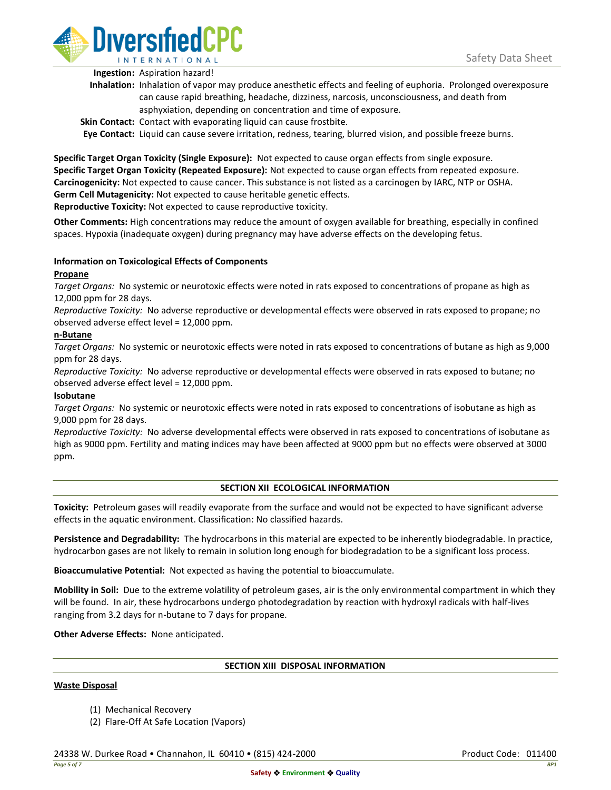

**Ingestion:** Aspiration hazard!

- **Inhalation:** Inhalation of vapor may produce anesthetic effects and feeling of euphoria. Prolonged overexposure can cause rapid breathing, headache, dizziness, narcosis, unconsciousness, and death from asphyxiation, depending on concentration and time of exposure.
- **Skin Contact:** Contact with evaporating liquid can cause frostbite.

**Eye Contact:** Liquid can cause severe irritation, redness, tearing, blurred vision, and possible freeze burns.

**Specific Target Organ Toxicity (Single Exposure):** Not expected to cause organ effects from single exposure. **Specific Target Organ Toxicity (Repeated Exposure):** Not expected to cause organ effects from repeated exposure. **Carcinogenicity:** Not expected to cause cancer. This substance is not listed as a carcinogen by IARC, NTP or OSHA. **Germ Cell Mutagenicity:** Not expected to cause heritable genetic effects. **Reproductive Toxicity:** Not expected to cause reproductive toxicity.

**Other Comments:** High concentrations may reduce the amount of oxygen available for breathing, especially in confined spaces. Hypoxia (inadequate oxygen) during pregnancy may have adverse effects on the developing fetus.

# **Information on Toxicological Effects of Components**

## **Propane**

*Target Organs:* No systemic or neurotoxic effects were noted in rats exposed to concentrations of propane as high as 12,000 ppm for 28 days.

*Reproductive Toxicity:* No adverse reproductive or developmental effects were observed in rats exposed to propane; no observed adverse effect level = 12,000 ppm.

## **n-Butane**

*Target Organs:* No systemic or neurotoxic effects were noted in rats exposed to concentrations of butane as high as 9,000 ppm for 28 days.

*Reproductive Toxicity:* No adverse reproductive or developmental effects were observed in rats exposed to butane; no observed adverse effect level = 12,000 ppm.

## **Isobutane**

*Target Organs:* No systemic or neurotoxic effects were noted in rats exposed to concentrations of isobutane as high as 9,000 ppm for 28 days.

*Reproductive Toxicity:* No adverse developmental effects were observed in rats exposed to concentrations of isobutane as high as 9000 ppm. Fertility and mating indices may have been affected at 9000 ppm but no effects were observed at 3000 ppm.

## **SECTION XII ECOLOGICAL INFORMATION**

**Toxicity:** Petroleum gases will readily evaporate from the surface and would not be expected to have significant adverse effects in the aquatic environment. Classification: No classified hazards.

**Persistence and Degradability:** The hydrocarbons in this material are expected to be inherently biodegradable. In practice, hydrocarbon gases are not likely to remain in solution long enough for biodegradation to be a significant loss process.

**Bioaccumulative Potential:** Not expected as having the potential to bioaccumulate.

**Mobility in Soil:** Due to the extreme volatility of petroleum gases, air is the only environmental compartment in which they will be found. In air, these hydrocarbons undergo photodegradation by reaction with hydroxyl radicals with half-lives ranging from 3.2 days for n-butane to 7 days for propane.

**Other Adverse Effects:** None anticipated.

## **SECTION XIII DISPOSAL INFORMATION**

## **Waste Disposal**

- (1) Mechanical Recovery
- (2) Flare-Off At Safe Location (Vapors)

24338 W. Durkee Road • Channahon, IL 60410 • (815) 424-2000 Product Code: 011400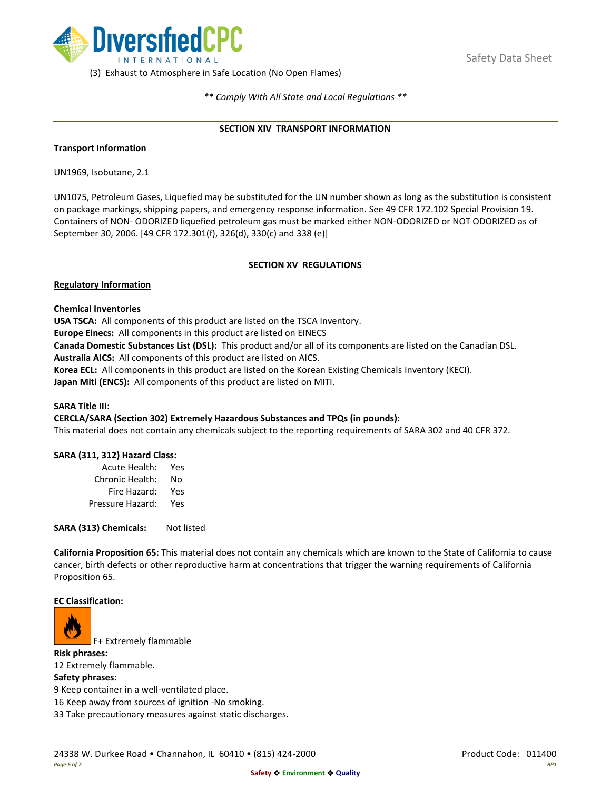

(3) Exhaust to Atmosphere in Safe Location (No Open Flames)

*\*\* Comply With All State and Local Regulations \*\**

### **SECTION XIV TRANSPORT INFORMATION**

### **Transport Information**

UN1969, Isobutane, 2.1

UN1075, Petroleum Gases, Liquefied may be substituted for the UN number shown as long as the substitution is consistent on package markings, shipping papers, and emergency response information. See 49 CFR 172.102 Special Provision 19. Containers of NON- ODORIZED liquefied petroleum gas must be marked either NON-ODORIZED or NOT ODORIZED as of September 30, 2006. [49 CFR 172.301(f), 326(d), 330(c) and 338 (e)]

### **SECTION XV REGULATIONS**

### **Regulatory Information**

### **Chemical Inventories**

**USA TSCA:** All components of this product are listed on the TSCA Inventory.

**Europe Einecs:** All components in this product are listed on EINECS

**Canada Domestic Substances List (DSL):** This product and/or all of its components are listed on the Canadian DSL.

**Australia AICS:** All components of this product are listed on AICS.

**Korea ECL:** All components in this product are listed on the Korean Existing Chemicals Inventory (KECI). **Japan Miti (ENCS):** All components of this product are listed on MITI.

## **SARA Title III:**

## **CERCLA/SARA (Section 302) Extremely Hazardous Substances and TPQs (in pounds):**

This material does not contain any chemicals subject to the reporting requirements of SARA 302 and 40 CFR 372.

## **SARA (311, 312) Hazard Class:**

| Acute Health:    | Yes |
|------------------|-----|
| Chronic Health:  | No  |
| Fire Hazard:     | Yes |
| Pressure Hazard: | Yes |

**SARA (313) Chemicals:** Not listed

**California Proposition 65:** This material does not contain any chemicals which are known to the State of California to cause cancer, birth defects or other reproductive harm at concentrations that trigger the warning requirements of California Proposition 65.

#### **EC Classification:**



F+ Extremely flammable

**Risk phrases:** 12 Extremely flammable.

#### **Safety phrases:**

9 Keep container in a well-ventilated place.

16 Keep away from sources of ignition -No smoking.

33 Take precautionary measures against static discharges.